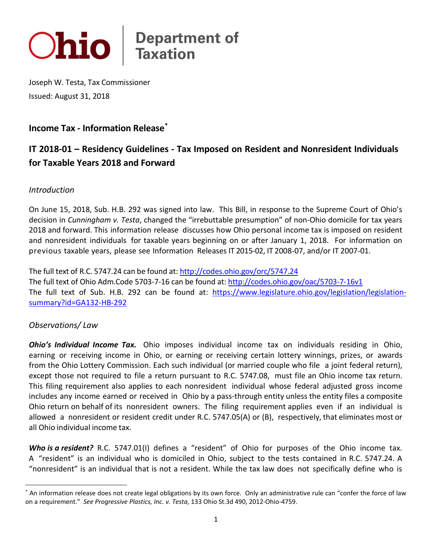

 Joseph W. Testa, Tax Commissioner Issued: August 31, 2018

## **Income Tax - Information Release[\\*](#page-0-0)**

# **IT 2018-01 – Residency Guidelines - Tax Imposed on Resident and Nonresident Individuals for Taxable Years 2018 and Forward**

#### *Introduction*

 On June 15, 2018, Sub. H.B. 292 was signed into law. This Bill, in response to the Supreme Court of Ohio's decision in *Cunningham v. Testa*, changed the "irrebuttable presumption" of non-Ohio domicile for tax years 2018 and forward. This information release discusses how Ohio personal income tax is imposed on resident and nonresident individuals for taxable years beginning on or after January 1, 2018. For information on previous taxable years, please see Information Releases IT 2015-02, IT 2008-07, and/or IT 2007-01.

The full text of R.C. 5747.24 can be found at: http://codes.ohio.gov/orc/5747.24 The full text of Ohio Adm.Code 5703-7-16 can be found at: http://codes.ohio.gov/oac/5703-7-16v1 The full text of Ohio Adm.Code 5703-7-16 can be found at: <u>http://codes.ohio.gov/oac/5703-7-16v1</u><br>The full text of Sub. H.B. 292 can be found at: <u>https://www.legislature.ohio.gov/legislation/legislation-</u> [summary?id=GA132-HB-292](https://www.legislature.ohio.gov/legislation/legislation-summary?id=GA132-HB-292) 

### *Observations/ Law*

 $\overline{\phantom{a}}$ 

 *Ohio's Individual Income Tax.* Ohio imposes individual income tax on individuals residing in Ohio, earning or receiving income in Ohio, or earning or receiving certain lottery winnings, prizes, or awards from the Ohio Lottery Commission. Each such individual (or married couple who file a joint federal return), except those not required to file a return pursuant to R.C. 5747.08, must file an Ohio income tax return. This filing requirement also applies to each nonresident individual whose federal adjusted gross income includes any income earned or received in Ohio by a pass-through entity unless the entity files a composite Ohio return on behalf of its nonresident owners. The filing requirement applies even if an individual is allowed a nonresident or resident credit under R.C. 5747.05(A) or (B), respectively, that eliminates most or all Ohio individual income tax.

Who is a resident? R.C. 5747.01(I) defines a "resident" of Ohio for purposes of the Ohio income tax. A "resident" is an individual who is domiciled in Ohio, subject to the tests contained in R.C. 5747.24. A "nonresident" is an individual that is not a resident. While the tax law does not specifically define who is

<span id="page-0-0"></span> on a requirement." *See Progressive Plastics, Inc. v. Testa,* 133 Ohio St.3d 490, 2012-Ohio-4759. \* An information release does not create legal obligations by its own force. Only an administrative rule can "confer the force of law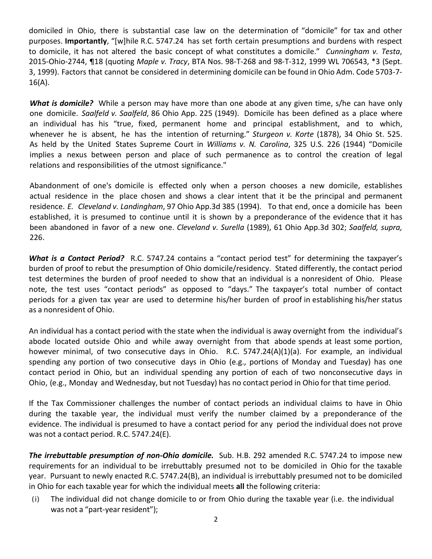domiciled in Ohio, there is substantial case law on the determination of "domicile" for tax and other purposes. **Importantly**, "[w]hile R.C. 5747.24 has set forth certain presumptions and burdens with respect to domicile, it has not altered the basic concept of what constitutes a domicile." *Cunningham v. Testa*, 2015-Ohio-2744, ¶18 (quoting *Maple v. Tracy*, BTA Nos. 98-T-268 and 98-T-312, 1999 WL 706543, \*3 (Sept. 3, 1999). Factors that cannot be considered in determining domicile can be found in Ohio Adm. Code 5703-7-  $16(A)$ .

What is domicile? While a person may have more than one abode at any given time, s/he can have only one domicile. *Saalfeld v. Saalfeld*, 86 Ohio App. 225 (1949). Domicile has been defined as a place where an individual has his "true, fixed, permanent home and principal establishment, and to which, whenever he is absent, he has the intention of returning." *Sturgeon v. Korte* (1878), 34 Ohio St. 525. As held by the United States Supreme Court in *Williams v. N. Carolina*, 325 U.S. 226 (1944) "Domicile implies a nexus between person and place of such permanence as to control the creation of legal relations and responsibilities of the utmost significance."

 Abandonment of one's domicile is effected only when a person chooses a new domicile, establishes actual residence in the place chosen and shows a clear intent that it be the principal and permanent  residence. *E. Cleveland v. Landingham*, 97 Ohio App.3d 385 (1994). To that end, once a domicile has been established, it is presumed to continue until it is shown by a preponderance of the evidence that it has been abandoned in favor of a new one. *Cleveland v. Surella* (1989), 61 Ohio App.3d 302; *Saalfeld, supra,*  226.

What is a Contact Period? R.C. 5747.24 contains a "contact period test" for determining the taxpayer's burden of proof to rebut the presumption of Ohio domicile/residency. Stated differently, the contact period test determines the burden of proof needed to show that an individual is a nonresident of Ohio. Please note, the test uses "contact periods" as opposed to "days." The taxpayer's total number of contact periods for a given tax year are used to determine his/her burden of proof in establishing his/her status as a nonresident of Ohio.

 An individual has a contact period with the state when the individual is away overnight from the individual's abode located outside Ohio and while away overnight from that abode spends at least some portion, however minimal, of two consecutive days in Ohio. R.C. 5747.24(A)(1)(a). For example, an individual spending any portion of two consecutive days in Ohio (e.g., portions of Monday and Tuesday) has one contact period in Ohio, but an individual spending any portion of each of two nonconsecutive days in Ohio, (e.g., Monday and Wednesday, but not Tuesday) has no contact period in Ohio for that time period.

 If the Tax Commissioner challenges the number of contact periods an individual claims to have in Ohio during the taxable year, the individual must verify the number claimed by a preponderance of the evidence. The individual is presumed to have a contact period for any period the individual does not prove was not a contact period. R.C. 5747.24(E).

 *The irrebuttable presumption of non-Ohio domicile.* Sub. H.B. 292 amended R.C. 5747.24 to impose new requirements for an individual to be irrebuttably presumed not to be domiciled in Ohio for the taxable year. Pursuant to newly enacted R.C. 5747.24(B), an individual is irrebuttably presumed not to be domiciled in Ohio for each taxable year for which the individual meets **all** the following criteria:

 (i) The individual did not change domicile to or from Ohio during the taxable year (i.e. the individual was not a "part-year resident");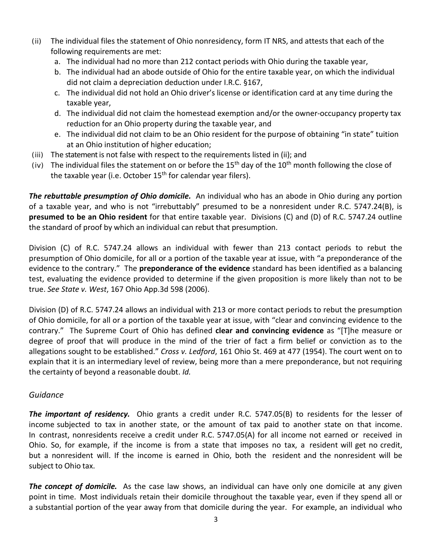- following requirements are met: (ii) The individual files the statement of Ohio nonresidency, form IT NRS, and attests that each of the
	- a. The individual had no more than 212 contact periods with Ohio during the taxable year,
	- b. The individual had an abode outside of Ohio for the entire taxable year, on which the individual did not claim a depreciation deduction under I.R.C. §167,
	- c. The individual did not hold an Ohio driver's license or identification card at any time during the taxable year,
	- d. The individual did not claim the homestead exemption and/or the owner-occupancy property tax reduction for an Ohio property during the taxable year, and
	- e. The individual did not claim to be an Ohio resident for the purpose of obtaining "in state" tuition at an Ohio institution of higher education;
- (iii) The statement is not false with respect to the requirements listed in (ii); and
- (iv) The individual files the statement on or before the  $15<sup>th</sup>$  day of the  $10<sup>th</sup>$  month following the close of the taxable year (i.e. October  $15<sup>th</sup>$  for calendar year filers).

 **presumed to be an Ohio resident** for that entire taxable year. Divisions (C) and (D) of R.C. 5747.24 outline the standard of proof by which an individual can rebut that presumption. *The rebuttable presumption of Ohio domicile.* An individual who has an abode in Ohio during any portion of a taxable year, and who is not "irrebuttably" presumed to be a nonresident under R.C. 5747.24(B), is

the standard of proof by which an individual can rebut that presumption.<br>Division (C) of R.C. 5747.24 allows an individual with fewer than 213 contact periods to rebut the presumption of Ohio domicile, for all or a portion of the taxable year at issue, with "a preponderance of the evidence to the contrary." The **preponderance of the evidence** standard has been identified as a balancing true. *See State v. West*, 167 Ohio App.3d 598 (2006). test, evaluating the evidence provided to determine if the given proposition is more likely than not to be

 degree of proof that will produce in the mind of the trier of fact a firm belief or conviction as to the allegations sought to be established." *Cross v. Ledford*, 161 Ohio St. 469 at 477 (1954). The court went on to the certainty of beyond a reasonable doubt. *Id.*  Division (D) of R.C. 5747.24 allows an individual with 213 or more contact periods to rebut the presumption of Ohio domicile, for all or a portion of the taxable year at issue, with "clear and convincing evidence to the contrary." The Supreme Court of Ohio has defined **clear and convincing evidence** as "[T]he measure or explain that it is an intermediary level of review, being more than a mere preponderance, but not requiring

### *Guidance*

 *The important of residency.* Ohio grants a credit under R.C. 5747.05(B) to residents for the lesser of income subjected to tax in another state, or the amount of tax paid to another state on that income. In contrast, nonresidents receive a credit under R.C. 5747.05(A) for all income not earned or received in Ohio. So, for example, if the income is from a state that imposes no tax, a resident will get no credit, but a nonresident will. If the income is earned in Ohio, both the resident and the nonresident will be subject to Ohio tax.

 *The concept of domicile.* As the case law shows, an individual can have only one domicile at any given point in time. Most individuals retain their domicile throughout the taxable year, even if they spend all or a substantial portion of the year away from that domicile during the year. For example, an individual who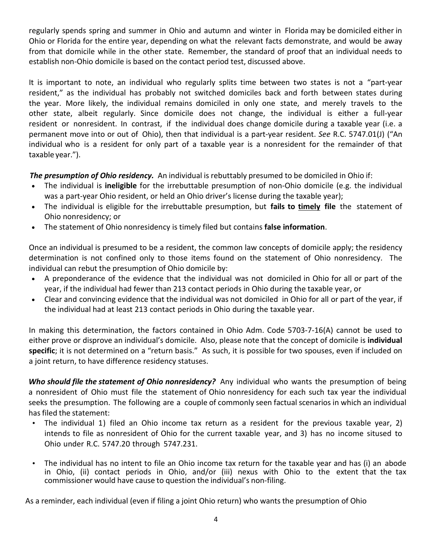regularly spends spring and summer in Ohio and autumn and winter in Florida may be domiciled either in Ohio or Florida for the entire year, depending on what the relevant facts demonstrate, and would be away from that domicile while in the other state. Remember, the standard of proof that an individual needs to establish non-Ohio domicile is based on the contact period test, discussed above.

 It is important to note, an individual who regularly splits time between two states is not a "part-year resident," as the individual has probably not switched domiciles back and forth between states during the year. More likely, the individual remains domiciled in only one state, and merely travels to the other state, albeit regularly. Since domicile does not change, the individual is either a full-year resident or nonresident. In contrast, if the individual does change domicile during a taxable year (i.e. a permanent move into or out of Ohio), then that individual is a part-year resident. *See* R.C. 5747.01(J) ("An individual who is a resident for only part of a taxable year is a nonresident for the remainder of that taxable year.").

*The presumption of Ohio residency.* An individual is rebuttably presumed to be domiciled in Ohio if:

- was a part-year Ohio resident, or held an Ohio driver's license during the taxable year); • The individual is **ineligible** for the irrebuttable presumption of non-Ohio domicile (e.g. the individual
- • The individual is eligible for the irrebuttable presumption, but **fails to timely file** the statement of Ohio nonresidency; or
- The statement of Ohio nonresidency is timely filed but contains **false information**.

Once an individual is presumed to be a resident, the common law concepts of domicile apply; the residency determination is not confined only to those items found on the statement of Ohio nonresidency. The individual can rebut the presumption of Ohio domicile by:

- • A preponderance of the evidence that the individual was not domiciled in Ohio for all or part of the year, if the individual had fewer than 213 contact periods in Ohio during the taxable year, or
- • Clear and convincing evidence that the individual was not domiciled in Ohio for all or part of the year, if the individual had at least 213 contact periods in Ohio during the taxable year.

 In making this determination, the factors contained in Ohio Adm. Code 5703-7-16(A) cannot be used to either prove or disprove an individual's domicile. Also, please note that the concept of domicile is **individual specific**; it is not determined on a "return basis." As such, it is possible for two spouses, even if included on a joint return, to have difference residency statuses.

Who should file the statement of Ohio nonresidency? Any individual who wants the presumption of being a nonresident of Ohio must file the statement of Ohio nonresidency for each such tax year the individual seeks the presumption. The following are a couple of commonly seen factual scenarios in which an individual has filed the statement:

- • The individual 1) filed an Ohio income tax return as a resident for the previous taxable year, 2) intends to file as nonresident of Ohio for the current taxable year, and 3) has no income sitused to Ohio under R.C. 5747.20 through 5747.231.
- • The individual has no intent to file an Ohio income tax return for the taxable year and has (i) an abode in Ohio, (ii) contact periods in Ohio, and/or (iii) nexus with Ohio to the extent that the tax commissioner would have cause to question the individual's non-filing.

As a reminder, each individual (even if filing a joint Ohio return) who wants the presumption of Ohio